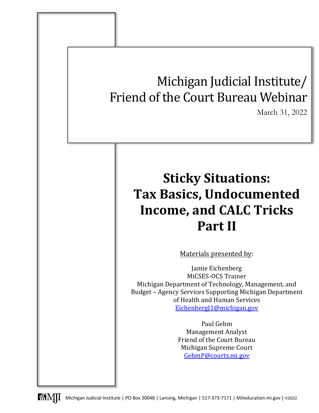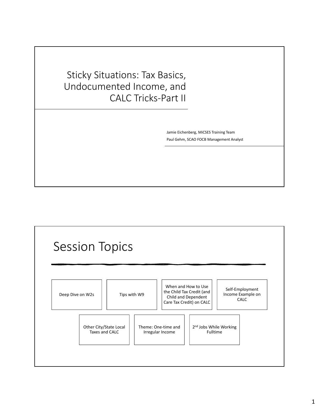Sticky Situations: Tax Basics, Undocumented Income, and CALC Tricks‐Part II

> Jamie Eichenberg, MiCSES Training Team Paul Gehm, SCAO FOCB Management Analyst

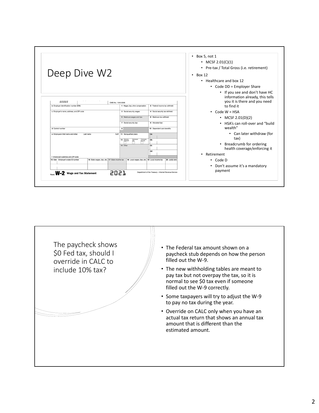

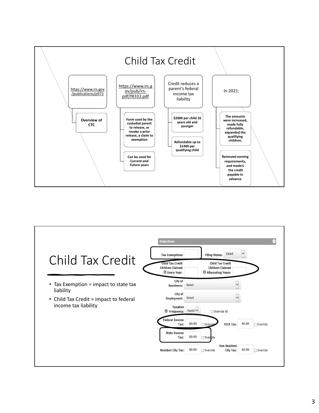

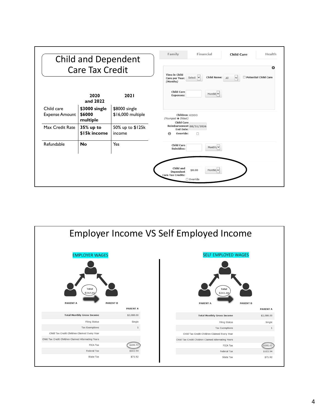| <b>Child and Dependent</b><br><b>Care Tax Credit</b> |                                     |                                    | Family<br>Financial<br>Health<br><b>Child Care</b>                                                                                                    |
|------------------------------------------------------|-------------------------------------|------------------------------------|-------------------------------------------------------------------------------------------------------------------------------------------------------|
|                                                      |                                     |                                    | Ω<br><b>Time in Child</b><br>$\overline{\mathsf{v}}$<br>Child Name: All<br>$\Box$ Potential Child Care<br>Select $\vee$<br>Care per Year:<br>(Months) |
|                                                      | 2020<br>and 2022                    | 2021                               | <b>Child Care</b><br>Monthly v<br><b>Expenses:</b>                                                                                                    |
| Child care<br><b>Expense Amount</b>                  | \$3000 single<br>\$6000<br>multiple | \$8000 single<br>\$16,000 multiple | Children: KIDDO<br>(Youngest → Oldest)<br><b>Child Care</b><br>Reimbursement 08/31/2026<br><b>End Date:</b><br>Override:<br>$\bullet$<br>$\Box$       |
| Max Credit Rate                                      | 35% up to<br>\$15k income           | 50% up to \$125k<br>income         |                                                                                                                                                       |
| Refundable                                           | <b>No</b>                           | Yes                                | <b>Child Care</b><br>Monthly $\vee$<br>Subsidies:                                                                                                     |
|                                                      |                                     |                                    | Child and<br>\$0.00<br>Monthly v<br>Dependent<br><b>Care Tax Credits:</b><br>□ Override                                                               |

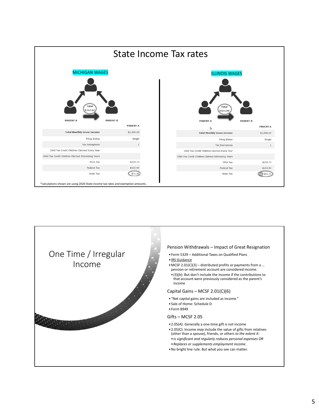

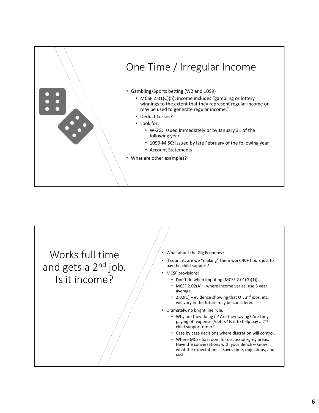